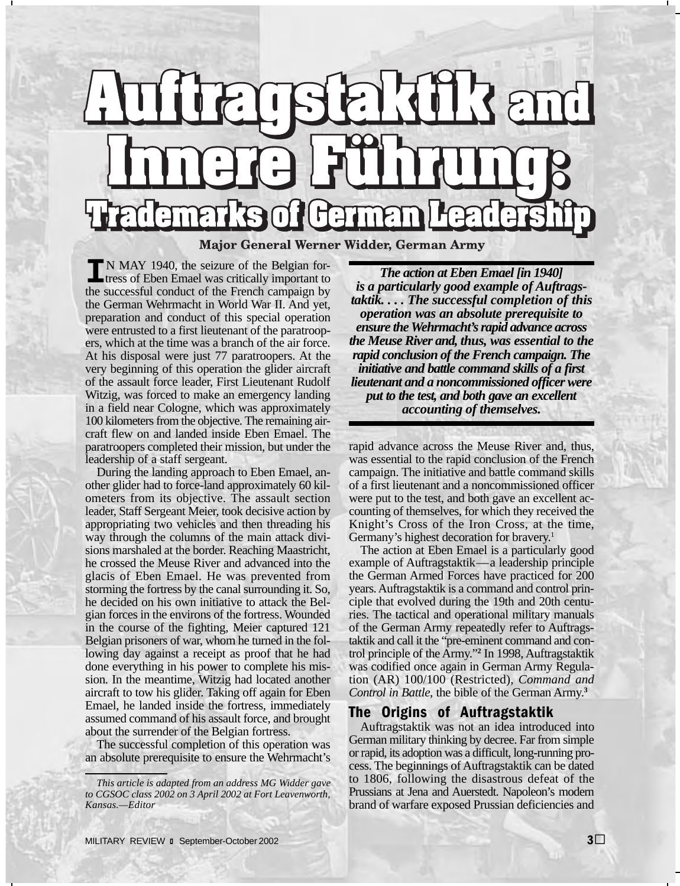# **ITHIS and** SE  $\prod_{i=1}^{n}$  $\bigcap$ demarks of German Major General Werner Widder, German Army

**I**N MAY 1940, the seizure of the Belgian fortress of Eben Emael was critically important to the successful conduct of the French campaign by the German Wehrmacht in World War II. And yet, preparation and conduct of this special operation were entrusted to a first lieutenant of the paratroopers, which at the time was a branch of the air force. At his disposal were just 77 paratroopers. At the very beginning of this operation the glider aircraft of the assault force leader, First Lieutenant Rudolf Witzig, was forced to make an emergency landing in a field near Cologne, which was approximately 100 kilometers from the objective. The remaining aircraft flew on and landed inside Eben Emael. The paratroopers completed their mission, but under the leadership of a staff sergeant.

During the landing approach to Eben Emael, another glider had to force-land approximately 60 kilometers from its objective. The assault section leader, Staff Sergeant Meier, took decisive action by appropriating two vehicles and then threading his way through the columns of the main attack divisions marshaled at the border. Reaching Maastricht, he crossed the Meuse River and advanced into the glacis of Eben Emael. He was prevented from storming the fortress by the canal surrounding it. So, he decided on his own initiative to attack the Belgian forces in the environs of the fortress. Wounded in the course of the fighting, Meier captured 121 Belgian prisoners of war, whom he turned in the following day against a receipt as proof that he had done everything in his power to complete his mission. In the meantime, Witzig had located another aircraft to tow his glider. Taking off again for Eben Emael, he landed inside the fortress, immediately assumed command of his assault force, and brought about the surrender of the Belgian fortress.

The successful completion of this operation was an absolute prerequisite to ensure the Wehrmacht's

*The action at Eben Emael [in 1940] is a particularly good example of Auftragstaktik. . . . The successful completion of this operation was an absolute prerequisite to ensure the Wehrmacht's rapid advance across the Meuse River and, thus, was essential to the rapid conclusion of the French campaign. The initiative and battle command skills of a first lieutenant and a noncommissioned officer were put to the test, and both gave an excellent accounting of themselves.* 

rapid advance across the Meuse River and, thus, was essential to the rapid conclusion of the French campaign. The initiative and battle command skills of a first lieutenant and a noncommissioned officer were put to the test, and both gave an excellent accounting of themselves, for which they received the Knight's Cross of the Iron Cross, at the time, Germany's highest decoration for bravery.<sup>1</sup>

The action at Eben Emael is a particularly good example of Auftragstaktik—a leadership principle the German Armed Forces have practiced for 200 years. Auftragstaktik is a command and control principle that evolved during the 19th and 20th centuries. The tactical and operational military manuals of the German Army repeatedly refer to Auftragstaktik and call it the "pre-eminent command and control principle of the Army."**<sup>2</sup>** In 1998, Auftragstaktik was codified once again in German Army Regulation (AR) 100/100 (Restricted), *Command and Control in Battle*, the bible of the German Army.**<sup>3</sup>**

### The Origins of Auftragstaktik

Auftragstaktik was not an idea introduced into German military thinking by decree. Far from simple or rapid, its adoption was a difficult, long-running process. The beginnings of Auftragstaktik can be dated to 1806, following the disastrous defeat of the Prussians at Jena and Auerstedt. Napoleon's modern brand of warfare exposed Prussian deficiencies and

*This article is adapted from an address MG Widder gave to CGSOC class 2002 on 3 April 2002 at Fort Leavenworth, Kansas.—Editor*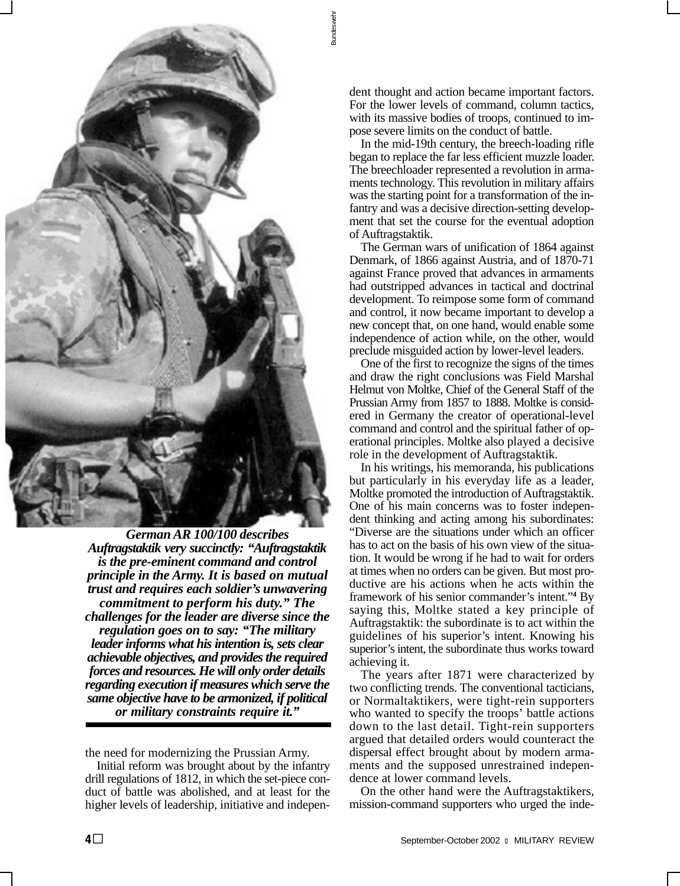

 *principle in the Army. It is based on mutual German AR 100/100 describes Auftragstaktik very succinctly: "Auftragstaktik is the pre-eminent command and control trust and requires each soldier's unwavering commitment to perform his duty." The challenges for the leader are diverse since the regulation goes on to say: "The military leader informs what his intention is, sets clear achievable objectives, and provides the required forces and resources. He will only order details regarding execution if measures which serve the same objective have to be armonized, if political or military constraints require it."* 

the need for modernizing the Prussian Army.

Initial reform was brought about by the infantry drill regulations of 1812, in which the set-piece conduct of battle was abolished, and at least for the higher levels of leadership, initiative and independent thought and action became important factors. For the lower levels of command, column tactics, with its massive bodies of troops, continued to impose severe limits on the conduct of battle.

Bundeswehr

Bundesweh

In the mid-19th century, the breech-loading rifle began to replace the far less efficient muzzle loader. The breechloader represented a revolution in armaments technology. This revolution in military affairs was the starting point for a transformation of the infantry and was a decisive direction-setting development that set the course for the eventual adoption of Auftragstaktik.

The German wars of unification of 1864 against Denmark, of 1866 against Austria, and of 1870-71 against France proved that advances in armaments had outstripped advances in tactical and doctrinal development. To reimpose some form of command and control, it now became important to develop a new concept that, on one hand, would enable some independence of action while, on the other, would preclude misguided action by lower-level leaders.

One of the first to recognize the signs of the times and draw the right conclusions was Field Marshal Helmut von Moltke, Chief of the General Staff of the Prussian Army from 1857 to 1888. Moltke is considered in Germany the creator of operational-level command and control and the spiritual father of operational principles. Moltke also played a decisive role in the development of Auftragstaktik.

In his writings, his memoranda, his publications but particularly in his everyday life as a leader, Moltke promoted the introduction of Auftragstaktik. One of his main concerns was to foster independent thinking and acting among his subordinates: "Diverse are the situations under which an officer has to act on the basis of his own view of the situation. It would be wrong if he had to wait for orders at times when no orders can be given. But most productive are his actions when he acts within the framework of his senior commander's intent."**<sup>4</sup>** By saying this, Moltke stated a key principle of Auftragstaktik: the subordinate is to act within the guidelines of his superior's intent. Knowing his superior's intent, the subordinate thus works toward achieving it.

The years after 1871 were characterized by two conflicting trends. The conventional tacticians, or Normaltaktikers, were tight-rein supporters who wanted to specify the troops' battle actions down to the last detail. Tight-rein supporters argued that detailed orders would counteract the dispersal effect brought about by modern armaments and the supposed unrestrained independence at lower command levels.

On the other hand were the Auftragstaktikers, mission-command supporters who urged the inde-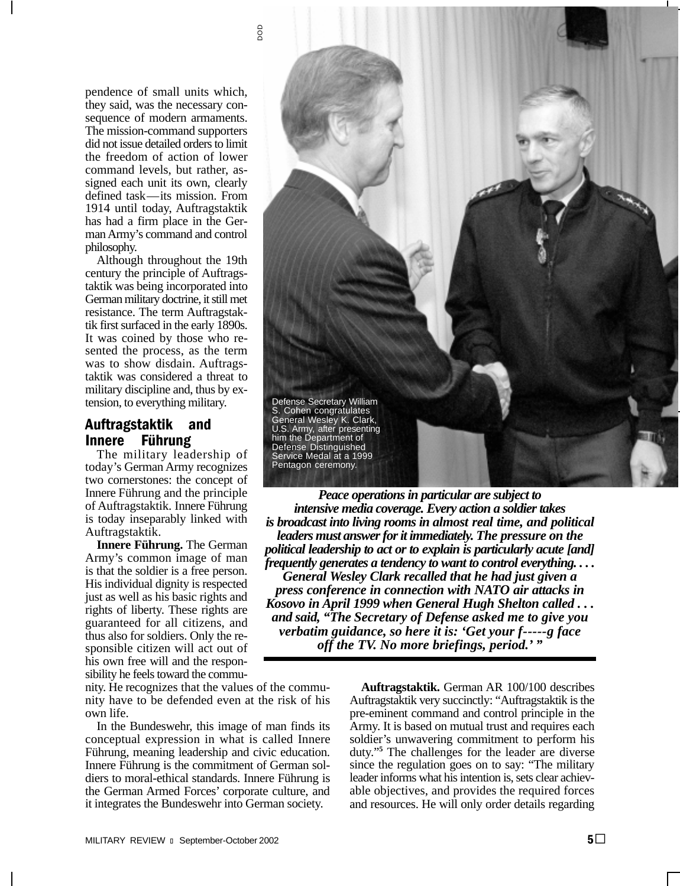

pendence of small units which, they said, was the necessary consequence of modern armaments. The mission-command supporters did not issue detailed orders to limit the freedom of action of lower command levels, but rather, assigned each unit its own, clearly defined task—its mission. From 1914 until today, Auftragstaktik has had a firm place in the German Army's command and control philosophy.

Although throughout the 19th century the principle of Auftragstaktik was being incorporated into German military doctrine, it still met resistance. The term Auftragstaktik first surfaced in the early 1890s. It was coined by those who resented the process, as the term was to show disdain. Auftragstaktik was considered a threat to military discipline and, thus by extension, to everything military.

# Auftragstaktik and Innere Führung

The military leadership of today's German Army recognizes two cornerstones: the concept of

his own free will and the responsibility he feels toward the commu-



Innere Führung and the principle<br>
of Auftragstaktik. Innere Führung<br>
is today inseparably linked with<br>
is toology inseparably linked with<br>
the state is toology in the state of Auftragstaktik. Innere Führung. The German<br> **A** 

nity. He recognizes that the values of the commu- **Auftragstaktik.** German AR 100/100 describes nity have to be defended even at the risk of his Auftragstaktik very succinctly: "Auftragstaktik is the own life. pre-eminent command and control principle in the In the Bundeswehr, this image of man finds its Army. It is based on mutual trust and requires each conceptual expression in what is called Innere soldier's unwavering commitment to perform his Führung, meaning leadership and civic education. duty."**<sup>5</sup>**The challenges for the leader are diverse Innere Führung is the commitment of German sol- since the regulation goes on to say: "The military diers to moral-ethical standards. Innere Führung is leader informs what his intention is, sets clear achievthe German Armed Forces' corporate culture, and able objectives, and provides the required forces it integrates the Bundeswehr into German society. and resources. He will only order details regarding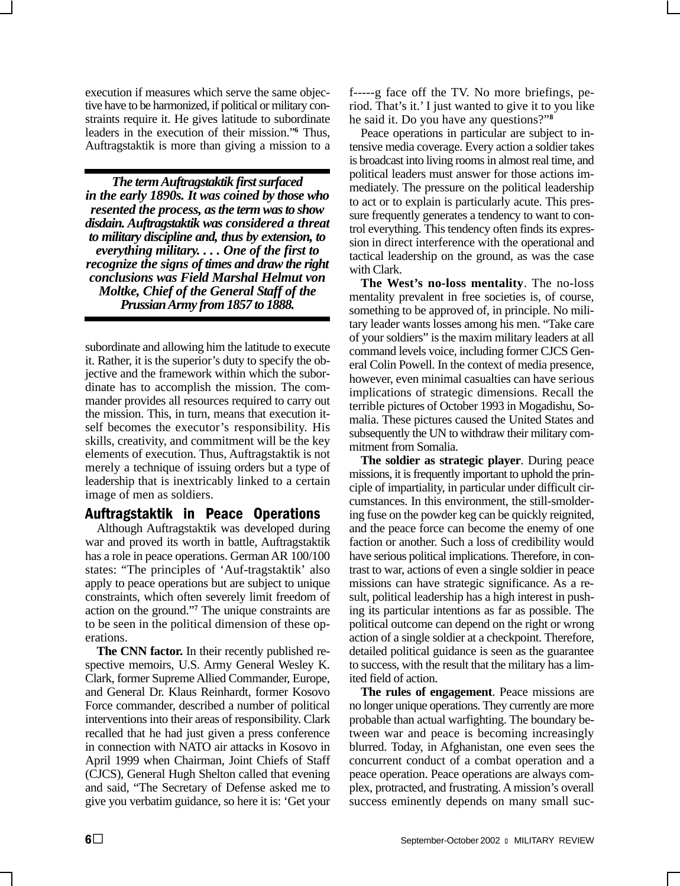execution if measures which serve the same objective have to be harmonized, if political or military constraints require it. He gives latitude to subordinate leaders in the execution of their mission."<sup>6</sup> Thus, Auftragstaktik is more than giving a mission to a

*The term Auftragstaktik first surfaced in the early 1890s. It was coined by those who resented the process, as the term was to show disdain. Auftragstaktik was considered a threat to military discipline and, thus by extension, to everything military. . . . One of the first to recognize the signs of times and draw the right conclusions was Field Marshal Helmut von Moltke, Chief of the General Staff of the Prussian Army from 1857 to 1888.* 

subordinate and allowing him the latitude to execute it. Rather, it is the superior's duty to specify the objective and the framework within which the subordinate has to accomplish the mission. The commander provides all resources required to carry out the mission. This, in turn, means that execution itself becomes the executor's responsibility. His skills, creativity, and commitment will be the key elements of execution. Thus, Auftragstaktik is not merely a technique of issuing orders but a type of leadership that is inextricably linked to a certain image of men as soldiers.

#### Auftragstaktik in Peace Operations

Although Auftragstaktik was developed during war and proved its worth in battle, Auftragstaktik has a role in peace operations. German AR 100/100 states: "The principles of 'Auf-tragstaktik' also apply to peace operations but are subject to unique constraints, which often severely limit freedom of action on the ground."**<sup>7</sup>** The unique constraints are to be seen in the political dimension of these operations.

**The CNN factor.** In their recently published respective memoirs, U.S. Army General Wesley K. Clark, former Supreme Allied Commander, Europe, and General Dr. Klaus Reinhardt, former Kosovo Force commander, described a number of political interventions into their areas of responsibility. Clark recalled that he had just given a press conference in connection with NATO air attacks in Kosovo in April 1999 when Chairman, Joint Chiefs of Staff (CJCS), General Hugh Shelton called that evening and said, "The Secretary of Defense asked me to give you verbatim guidance, so here it is: 'Get your f-----g face off the TV. No more briefings, period. That's it.' I just wanted to give it to you like he said it. Do you have any questions?"**<sup>8</sup>**

Peace operations in particular are subject to intensive media coverage. Every action a soldier takes is broadcast into living rooms in almost real time, and political leaders must answer for those actions immediately. The pressure on the political leadership to act or to explain is particularly acute. This pressure frequently generates a tendency to want to control everything. This tendency often finds its expression in direct interference with the operational and tactical leadership on the ground, as was the case with Clark.

**The West's no-loss mentality**. The no-loss mentality prevalent in free societies is, of course, something to be approved of, in principle. No military leader wants losses among his men. "Take care of your soldiers" is the maxim military leaders at all command levels voice, including former CJCS General Colin Powell. In the context of media presence, however, even minimal casualties can have serious implications of strategic dimensions. Recall the terrible pictures of October 1993 in Mogadishu, Somalia. These pictures caused the United States and subsequently the UN to withdraw their military commitment from Somalia.

**The soldier as strategic player**. During peace missions, it is frequently important to uphold the principle of impartiality, in particular under difficult circumstances. In this environment, the still-smoldering fuse on the powder keg can be quickly reignited, and the peace force can become the enemy of one faction or another. Such a loss of credibility would have serious political implications. Therefore, in contrast to war, actions of even a single soldier in peace missions can have strategic significance. As a result, political leadership has a high interest in pushing its particular intentions as far as possible. The political outcome can depend on the right or wrong action of a single soldier at a checkpoint. Therefore, detailed political guidance is seen as the guarantee to success, with the result that the military has a limited field of action.

**The rules of engagement**. Peace missions are no longer unique operations. They currently are more probable than actual warfighting. The boundary between war and peace is becoming increasingly blurred. Today, in Afghanistan, one even sees the concurrent conduct of a combat operation and a peace operation. Peace operations are always complex, protracted, and frustrating. A mission's overall success eminently depends on many small suc-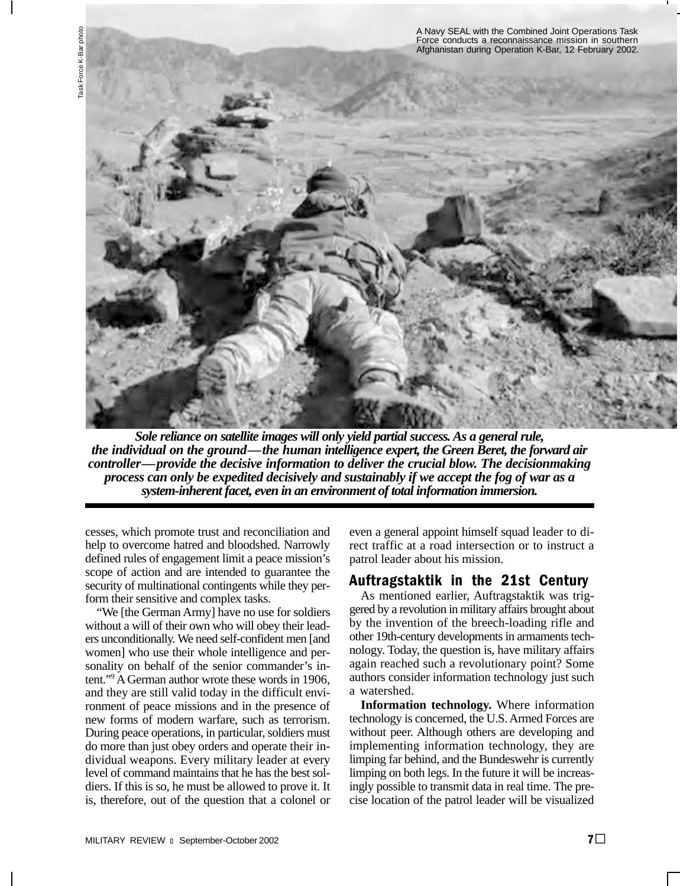

*Sole reliance on satellite images will only yield partial success. As a general rule, the individual on the ground—the human intelligence expert, the Green Beret, the forward air controller—provide the decisive information to deliver the crucial blow. The decisionmaking process can only be expedited decisively and sustainably if we accept the fog of war as a system-inherent facet, even in an environment of total information immersion.* 

cesses, which promote trust and reconciliation and help to overcome hatred and bloodshed. Narrowly defined rules of engagement limit a peace mission's scope of action and are intended to guarantee the security of multinational contingents while they perform their sensitive and complex tasks.

"We [the German Army] have no use for soldiers without a will of their own who will obey their leaders unconditionally. We need self-confident men [and women] who use their whole intelligence and personality on behalf of the senior commander's intent."9 A German author wrote these words in 1906, and they are still valid today in the difficult environment of peace missions and in the presence of new forms of modern warfare, such as terrorism. During peace operations, in particular, soldiers must do more than just obey orders and operate their individual weapons. Every military leader at every level of command maintains that he has the best soldiers. If this is so, he must be allowed to prove it. It is, therefore, out of the question that a colonel or

even a general appoint himself squad leader to direct traffic at a road intersection or to instruct a patrol leader about his mission.

# Auftragstaktik in the 21st Century

As mentioned earlier, Auftragstaktik was triggered by a revolution in military affairs brought about by the invention of the breech-loading rifle and other 19th-century developments in armaments technology. Today, the question is, have military affairs again reached such a revolutionary point? Some authors consider information technology just such a watershed.

**Information technology.** Where information technology is concerned, the U.S. Armed Forces are without peer. Although others are developing and implementing information technology, they are limping far behind, and the Bundeswehr is currently limping on both legs. In the future it will be increasingly possible to transmit data in real time. The precise location of the patrol leader will be visualized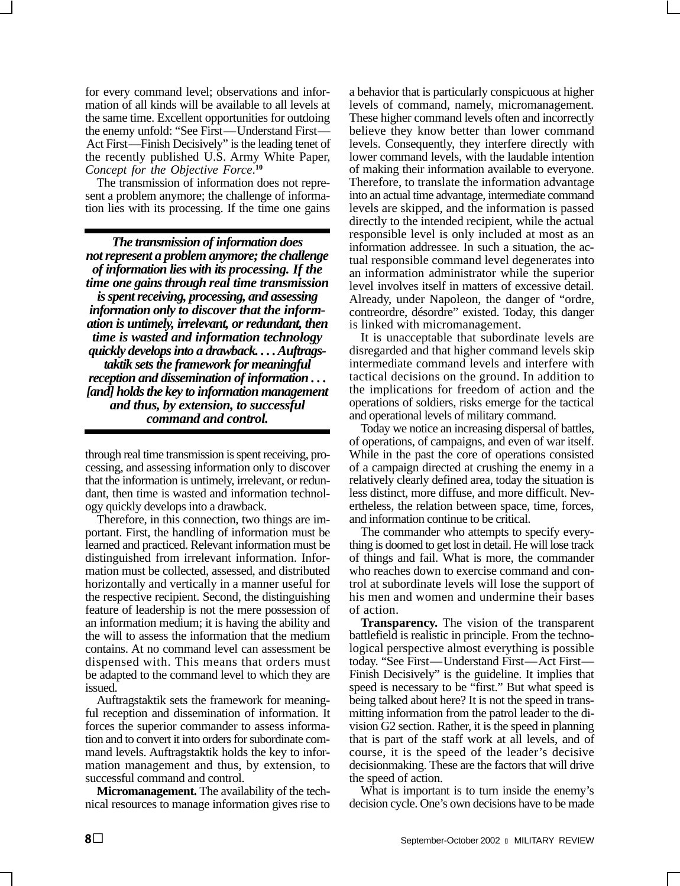for every command level; observations and information of all kinds will be available to all levels at the same time. Excellent opportunities for outdoing the enemy unfold: "See First—Understand First— Act First—Finish Decisively" is the leading tenet of the recently published U.S. Army White Paper, *Concept for the Objective Force*. **10** 

The transmission of information does not represent a problem anymore; the challenge of information lies with its processing. If the time one gains

*The transmission of information does not represent a problem anymore; the challenge of information lies with its processing. If the time one gains through real time transmission is spent receiving, processing, and assessing information only to discover that the information is untimely, irrelevant, or redundant, then time is wasted and information technology quickly develops into a drawback. . . . Auftragstaktik sets the framework for meaningful reception and dissemination of information . . . [and] holds the key to information management and thus, by extension, to successful command and control.* 

through real time transmission is spent receiving, processing, and assessing information only to discover that the information is untimely, irrelevant, or redundant, then time is wasted and information technology quickly develops into a drawback.

Therefore, in this connection, two things are important. First, the handling of information must be learned and practiced. Relevant information must be distinguished from irrelevant information. Information must be collected, assessed, and distributed horizontally and vertically in a manner useful for the respective recipient. Second, the distinguishing feature of leadership is not the mere possession of an information medium; it is having the ability and the will to assess the information that the medium contains. At no command level can assessment be dispensed with. This means that orders must be adapted to the command level to which they are issued.

Auftragstaktik sets the framework for meaningful reception and dissemination of information. It forces the superior commander to assess information and to convert it into orders for subordinate command levels. Auftragstaktik holds the key to information management and thus, by extension, to successful command and control.

**Micromanagement.** The availability of the technical resources to manage information gives rise to a behavior that is particularly conspicuous at higher levels of command, namely, micromanagement. These higher command levels often and incorrectly believe they know better than lower command levels. Consequently, they interfere directly with lower command levels, with the laudable intention of making their information available to everyone. Therefore, to translate the information advantage into an actual time advantage, intermediate command levels are skipped, and the information is passed directly to the intended recipient, while the actual responsible level is only included at most as an information addressee. In such a situation, the actual responsible command level degenerates into an information administrator while the superior level involves itself in matters of excessive detail. Already, under Napoleon, the danger of "ordre, contreordre, désordre" existed. Today, this danger is linked with micromanagement.

It is unacceptable that subordinate levels are disregarded and that higher command levels skip intermediate command levels and interfere with tactical decisions on the ground. In addition to the implications for freedom of action and the operations of soldiers, risks emerge for the tactical and operational levels of military command.

Today we notice an increasing dispersal of battles, of operations, of campaigns, and even of war itself. While in the past the core of operations consisted of a campaign directed at crushing the enemy in a relatively clearly defined area, today the situation is less distinct, more diffuse, and more difficult. Nevertheless, the relation between space, time, forces, and information continue to be critical.

The commander who attempts to specify everything is doomed to get lost in detail. He will lose track of things and fail. What is more, the commander who reaches down to exercise command and control at subordinate levels will lose the support of his men and women and undermine their bases of action.

**Transparency.** The vision of the transparent battlefield is realistic in principle. From the technological perspective almost everything is possible today. "See First—Understand First—Act First— Finish Decisively" is the guideline. It implies that speed is necessary to be "first." But what speed is being talked about here? It is not the speed in transmitting information from the patrol leader to the division G2 section. Rather, it is the speed in planning that is part of the staff work at all levels, and of course, it is the speed of the leader's decisive decisionmaking. These are the factors that will drive the speed of action.

What is important is to turn inside the enemy's decision cycle. One's own decisions have to be made